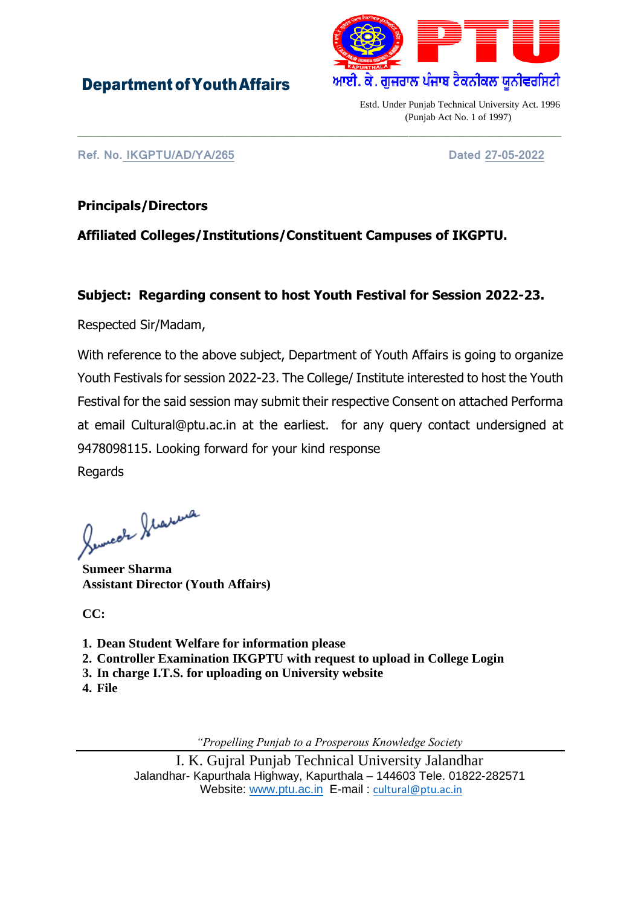## DepartmentofYouthAffairs



Estd. Under Punjab Technical University Act. 1996 (Punjab Act No. 1 of 1997)

**Ref. No. IKGPTU/AD/YA/265 Dated 27-05-2022**

#### **Principals/Directors**

### **Affiliated Colleges/Institutions/Constituent Campuses of IKGPTU.**

#### **Subject: Regarding consent to host Youth Festival for Session 2022-23.**

\_\_\_\_\_\_\_\_\_\_\_\_\_\_\_\_\_\_\_\_\_\_\_\_\_\_\_\_\_\_\_\_\_\_\_\_\_\_\_\_\_\_\_\_\_\_\_\_\_\_\_\_\_\_\_\_\_\_\_\_\_\_\_\_\_\_\_\_\_\_\_\_\_\_\_\_\_\_\_\_\_\_\_\_\_\_\_\_\_\_\_\_

Respected Sir/Madam,

With reference to the above subject, Department of Youth Affairs is going to organize Youth Festivals for session 2022-23. The College/ Institute interested to host the Youth Festival for the said session may submit their respective Consent on attached Performa at email Cultural@ptu.ac.in at the earliest. for any query contact undersigned at 9478098115. Looking forward for your kind response Regards

Semeste Statema

**Sumeer Sharma Assistant Director (Youth Affairs)**

**CC:**

- **1. Dean Student Welfare for information please**
- **2. Controller Examination IKGPTU with request to upload in College Login**
- **3. In charge I.T.S. for uploading on University website**
- **4. File**

*"Propelling Punjab to a Prosperous Knowledge Society*

 I. K. Gujral Punjab Technical University Jalandhar Jalandhar- Kapurthala Highway, Kapurthala – 144603 Tele. 01822-282571 Website: [www.ptu.ac.in](http://www.ptu.ac.in/) E-mail : [cultural@ptu.ac.in](mailto:cultural@ptu.ac.in)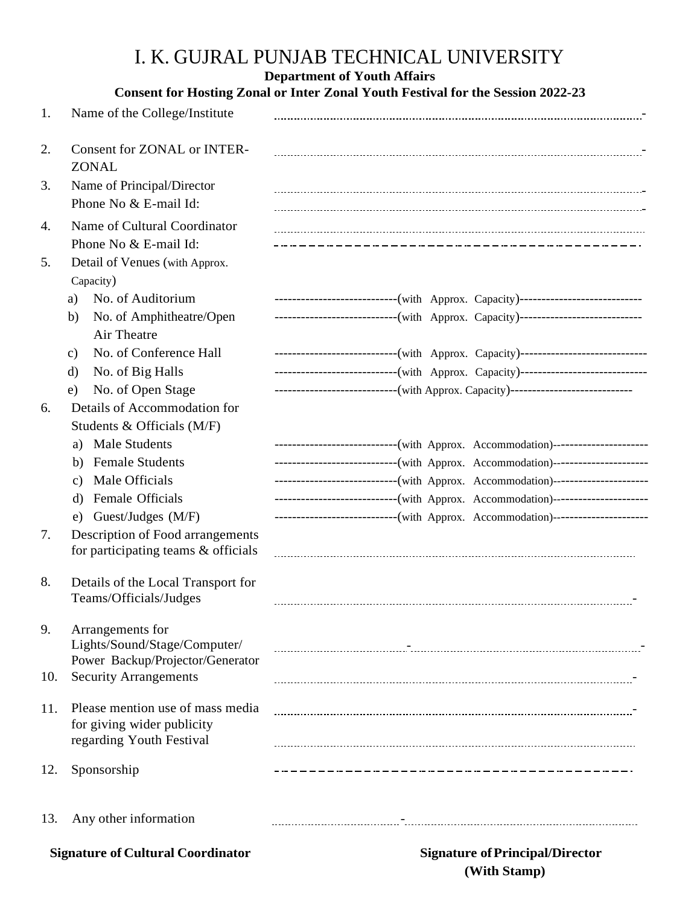## I. K. GUJRAL PUNJAB TECHNICAL UNIVERSITY

#### **Department of Youth Affairs**

| <b>Consent for Hosting Zonal or Inter Zonal Youth Festival for the Session 2022-23</b> |                                                                                            |                                                                                                                                                                    |
|----------------------------------------------------------------------------------------|--------------------------------------------------------------------------------------------|--------------------------------------------------------------------------------------------------------------------------------------------------------------------|
| 1.                                                                                     | Name of the College/Institute                                                              |                                                                                                                                                                    |
| 2.                                                                                     | <b>Consent for ZONAL or INTER-</b><br><b>ZONAL</b>                                         |                                                                                                                                                                    |
| 3.                                                                                     | Name of Principal/Director<br>Phone No & E-mail Id:                                        |                                                                                                                                                                    |
| 4.                                                                                     | Name of Cultural Coordinator<br>Phone No & E-mail Id:                                      | ________________________________                                                                                                                                   |
| 5.                                                                                     | Detail of Venues (with Approx.<br>Capacity)                                                |                                                                                                                                                                    |
|                                                                                        | No. of Auditorium<br>a)<br>No. of Amphitheatre/Open<br>b)                                  | ----------------------------(with Approx. Capacity)----------------------------<br>----------------------------(with Approx. Capacity)---------------------------- |
|                                                                                        | Air Theatre                                                                                |                                                                                                                                                                    |
|                                                                                        | No. of Conference Hall<br>$\mathbf{c})$                                                    | -----------------------------(with Approx. Capacity)----------------------------                                                                                   |
|                                                                                        | No. of Big Halls<br>d)                                                                     | -----------------------------(with Approx. Capacity)----------------------------                                                                                   |
|                                                                                        | No. of Open Stage<br>e)                                                                    | ----------------------------(with Approx. Capacity)-----------------------------                                                                                   |
| 6.                                                                                     | Details of Accommodation for                                                               |                                                                                                                                                                    |
|                                                                                        | Students & Officials (M/F)<br><b>Male Students</b><br>a)                                   |                                                                                                                                                                    |
|                                                                                        | <b>Female Students</b><br>b)                                                               | -----------------------------(with Approx. Accommodation)----------------------<br>-----------------------------(with Approx. Accommodation)---------------------- |
|                                                                                        | Male Officials<br>C)                                                                       | ----------------------------(with Approx. Accommodation)----------------------                                                                                     |
|                                                                                        | Female Officials<br>d)                                                                     | ----------------------------(with Approx. Accommodation)---------------------                                                                                      |
|                                                                                        | e) Guest/Judges (M/F)                                                                      | ---------------------------(with Approx. Accommodation)---------------------                                                                                       |
| 7.                                                                                     | Description of Food arrangements<br>for participating teams & officials                    |                                                                                                                                                                    |
| 8.                                                                                     | Details of the Local Transport for<br>Teams/Officials/Judges                               |                                                                                                                                                                    |
| 9.                                                                                     | Arrangements for<br>Lights/Sound/Stage/Computer/                                           |                                                                                                                                                                    |
| 10.                                                                                    | Power Backup/Projector/Generator<br><b>Security Arrangements</b>                           |                                                                                                                                                                    |
| 11.                                                                                    | Please mention use of mass media<br>for giving wider publicity<br>regarding Youth Festival |                                                                                                                                                                    |
| 12.                                                                                    | Sponsorship                                                                                |                                                                                                                                                                    |
| 13.                                                                                    | Any other information                                                                      |                                                                                                                                                                    |
| <b>Signature of Cultural Coordinator</b>                                               |                                                                                            | <b>Signature of Principal/Director</b>                                                                                                                             |

**(With Stamp)**